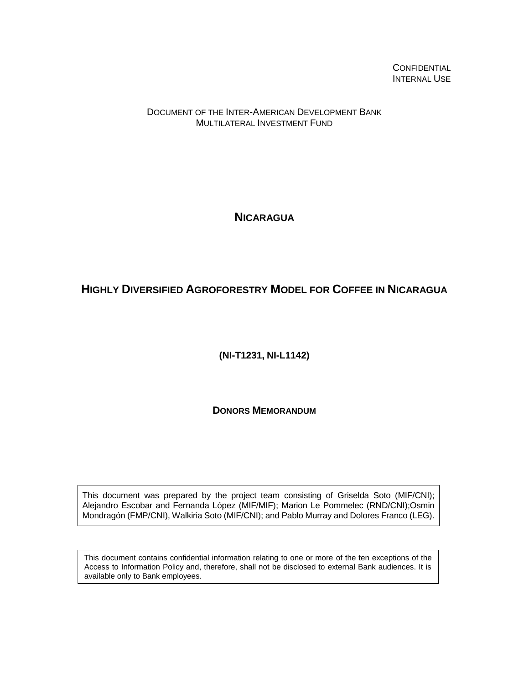**CONFIDENTIAL** INTERNAL USE

DOCUMENT OF THE INTER-AMERICAN DEVELOPMENT BANK MULTILATERAL INVESTMENT FUND

**NICARAGUA**

## **HIGHLY DIVERSIFIED AGROFORESTRY MODEL FOR COFFEE IN NICARAGUA**

**(NI-T1231, NI-L1142)**

**DONORS MEMORANDUM**

This document was prepared by the project team consisting of Griselda Soto (MIF/CNI); Alejandro Escobar and Fernanda López (MIF/MIF); Marion Le Pommelec (RND/CNI);Osmin Mondragón (FMP/CNI), Walkiria Soto (MIF/CNI); and Pablo Murray and Dolores Franco (LEG).

This document contains confidential information relating to one or more of the ten exceptions of the Access to Information Policy and, therefore, shall not be disclosed to external Bank audiences. It is available only to Bank employees.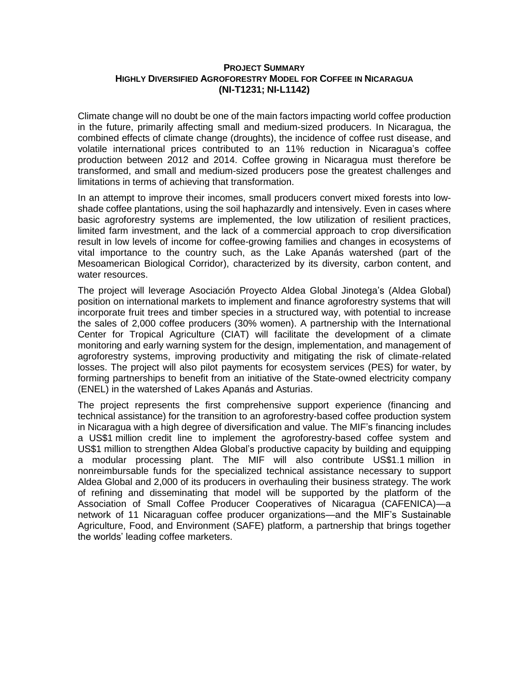## **PROJECT SUMMARY HIGHLY DIVERSIFIED AGROFORESTRY MODEL FOR COFFEE IN NICARAGUA (NI-T1231; NI-L1142)**

Climate change will no doubt be one of the main factors impacting world coffee production in the future, primarily affecting small and medium-sized producers. In Nicaragua, the combined effects of climate change (droughts), the incidence of coffee rust disease, and volatile international prices contributed to an 11% reduction in Nicaragua's coffee production between 2012 and 2014. Coffee growing in Nicaragua must therefore be transformed, and small and medium-sized producers pose the greatest challenges and limitations in terms of achieving that transformation.

In an attempt to improve their incomes, small producers convert mixed forests into lowshade coffee plantations, using the soil haphazardly and intensively. Even in cases where basic agroforestry systems are implemented, the low utilization of resilient practices, limited farm investment, and the lack of a commercial approach to crop diversification result in low levels of income for coffee-growing families and changes in ecosystems of vital importance to the country such, as the Lake Apanás watershed (part of the Mesoamerican Biological Corridor), characterized by its diversity, carbon content, and water resources.

The project will leverage Asociación Proyecto Aldea Global Jinotega's (Aldea Global) position on international markets to implement and finance agroforestry systems that will incorporate fruit trees and timber species in a structured way, with potential to increase the sales of 2,000 coffee producers (30% women). A partnership with the International Center for Tropical Agriculture (CIAT) will facilitate the development of a climate monitoring and early warning system for the design, implementation, and management of agroforestry systems, improving productivity and mitigating the risk of climate-related losses. The project will also pilot payments for ecosystem services (PES) for water, by forming partnerships to benefit from an initiative of the State-owned electricity company (ENEL) in the watershed of Lakes Apanás and Asturias.

The project represents the first comprehensive support experience (financing and technical assistance) for the transition to an agroforestry-based coffee production system in Nicaragua with a high degree of diversification and value. The MIF's financing includes a US\$1 million credit line to implement the agroforestry-based coffee system and US\$1 million to strengthen Aldea Global's productive capacity by building and equipping a modular processing plant. The MIF will also contribute US\$1.1 million in nonreimbursable funds for the specialized technical assistance necessary to support Aldea Global and 2,000 of its producers in overhauling their business strategy. The work of refining and disseminating that model will be supported by the platform of the Association of Small Coffee Producer Cooperatives of Nicaragua (CAFENICA)—a network of 11 Nicaraguan coffee producer organizations—and the MIF's Sustainable Agriculture, Food, and Environment (SAFE) platform, a partnership that brings together the worlds' leading coffee marketers.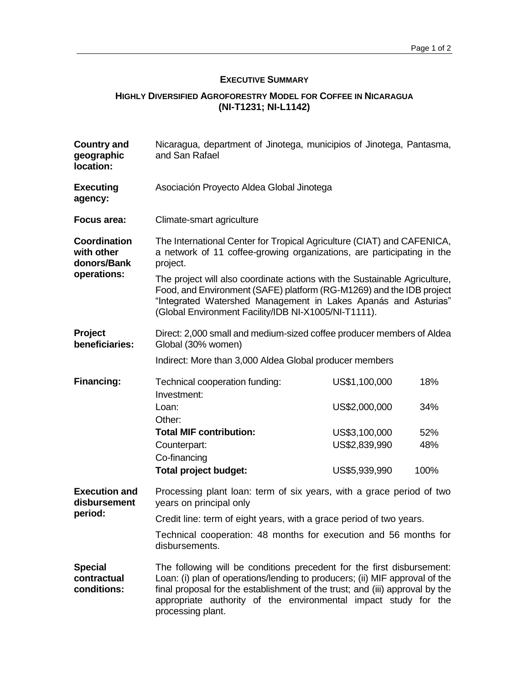## **EXECUTIVE SUMMARY**

## **HIGHLY DIVERSIFIED AGROFORESTRY MODEL FOR COFFEE IN NICARAGUA (NI-T1231; NI-L1142)**

| <b>Country and</b><br>geographic<br>location:            | Nicaragua, department of Jinotega, municipios of Jinotega, Pantasma,<br>and San Rafael                                                                                                                                                                                                                                        |               |      |  |
|----------------------------------------------------------|-------------------------------------------------------------------------------------------------------------------------------------------------------------------------------------------------------------------------------------------------------------------------------------------------------------------------------|---------------|------|--|
| <b>Executing</b><br>agency:                              | Asociación Proyecto Aldea Global Jinotega                                                                                                                                                                                                                                                                                     |               |      |  |
| Focus area:                                              | Climate-smart agriculture                                                                                                                                                                                                                                                                                                     |               |      |  |
| Coordination<br>with other<br>donors/Bank<br>operations: | The International Center for Tropical Agriculture (CIAT) and CAFENICA,<br>a network of 11 coffee-growing organizations, are participating in the<br>project.                                                                                                                                                                  |               |      |  |
|                                                          | The project will also coordinate actions with the Sustainable Agriculture,<br>Food, and Environment (SAFE) platform (RG-M1269) and the IDB project<br>"Integrated Watershed Management in Lakes Apanás and Asturias"<br>(Global Environment Facility/IDB NI-X1005/NI-T1111).                                                  |               |      |  |
| <b>Project</b><br>beneficiaries:                         | Direct: 2,000 small and medium-sized coffee producer members of Aldea<br>Global (30% women)                                                                                                                                                                                                                                   |               |      |  |
|                                                          | Indirect: More than 3,000 Aldea Global producer members                                                                                                                                                                                                                                                                       |               |      |  |
| <b>Financing:</b>                                        | Technical cooperation funding:<br>Investment:                                                                                                                                                                                                                                                                                 | US\$1,100,000 | 18%  |  |
|                                                          | Loan:<br>Other:                                                                                                                                                                                                                                                                                                               | US\$2,000,000 | 34%  |  |
|                                                          | <b>Total MIF contribution:</b>                                                                                                                                                                                                                                                                                                | US\$3,100,000 | 52%  |  |
|                                                          | Counterpart:<br>Co-financing                                                                                                                                                                                                                                                                                                  | US\$2,839,990 | 48%  |  |
|                                                          | Total project budget:                                                                                                                                                                                                                                                                                                         | US\$5,939,990 | 100% |  |
| <b>Execution and</b><br>disbursement<br>period:          | Processing plant loan: term of six years, with a grace period of two<br>years on principal only                                                                                                                                                                                                                               |               |      |  |
|                                                          | Credit line: term of eight years, with a grace period of two years.                                                                                                                                                                                                                                                           |               |      |  |
|                                                          | Technical cooperation: 48 months for execution and 56 months for<br>disbursements.                                                                                                                                                                                                                                            |               |      |  |
| <b>Special</b><br>contractual<br>conditions:             | The following will be conditions precedent for the first disbursement:<br>Loan: (i) plan of operations/lending to producers; (ii) MIF approval of the<br>final proposal for the establishment of the trust; and (iii) approval by the<br>appropriate authority of the environmental impact study for the<br>processing plant. |               |      |  |